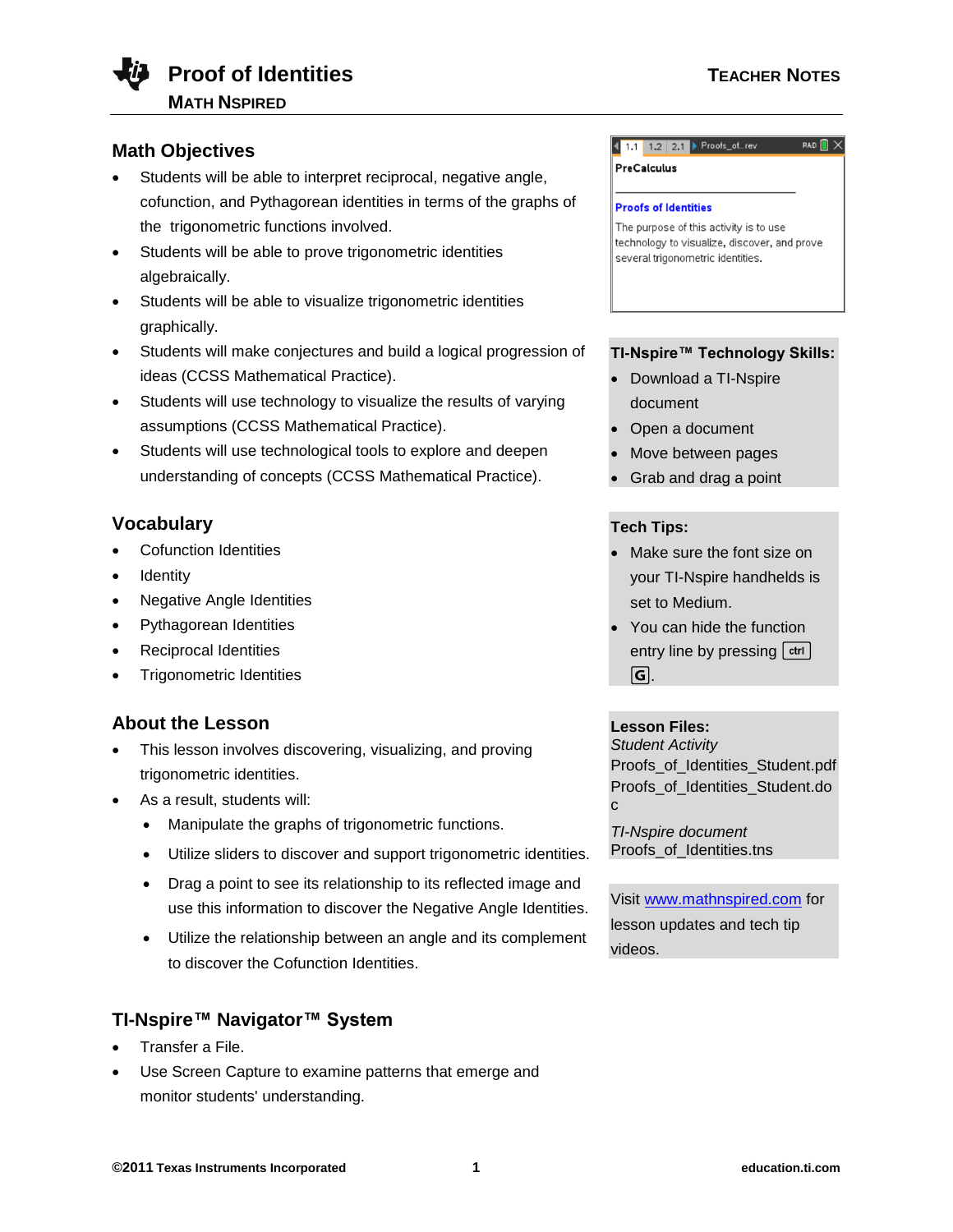### **Math Objectives**

- Students will be able to interpret reciprocal, negative angle, cofunction, and Pythagorean identities in terms of the graphs of the trigonometric functions involved.
- Students will be able to prove trigonometric identities algebraically.
- Students will be able to visualize trigonometric identities graphically.
- Students will make conjectures and build a logical progression of ideas (CCSS Mathematical Practice).
- Students will use technology to visualize the results of varying assumptions (CCSS Mathematical Practice).
- Students will use technological tools to explore and deepen understanding of concepts (CCSS Mathematical Practice).

## **Vocabulary**

- Cofunction Identities
- **Identity**
- Negative Angle Identities
- Pythagorean Identities
- Reciprocal Identities
- Trigonometric Identities

## **About the Lesson**

- This lesson involves discovering, visualizing, and proving trigonometric identities.
- As a result, students will:
	- Manipulate the graphs of trigonometric functions.
	- Utilize sliders to discover and support trigonometric identities.
	- Drag a point to see its relationship to its reflected image and use this information to discover the Negative Angle Identities.
	- Utilize the relationship between an angle and its complement to discover the Cofunction Identities.

## **TI-Nspire™ Navigator™ System**

- Transfer a File.
- Use Screen Capture to examine patterns that emerge and monitor students' understanding.

#### $\begin{array}{|c|c|c|c|c|}\n\hline\n\textbf{4} & \textbf{1.1} & \textbf{1.2} & \textbf{2.1} & \textbf{Proofs\_of...rev} & \textbf{RAD} & \textbf{XX} \\\hline\n\end{array}$

**PreCalculus** 

#### **Proofs of Identities**

The purpose of this activity is to use technology to visualize, discover, and prove several trigonometric identities.

### **TI-Nspire™ Technology Skills:**

- Download a TI-Nspire document
- Open a document
- Move between pages
- Grab and drag a point

### **Tech Tips:**

- Make sure the font size on your TI-Nspire handhelds is set to Medium.
- You can hide the function entry line by pressing  $\lceil$  ctrl G.

## **Lesson Files:**

*Student Activity* Proofs of Identities Student.pdf Proofs of Identities Student.do  $\mathbf{c}$ 

*TI-Nspire document*  Proofs of Identities.tns

Visit [www.mathnspired.com](http://www.mathnspired.com/) for lesson updates and tech tip videos.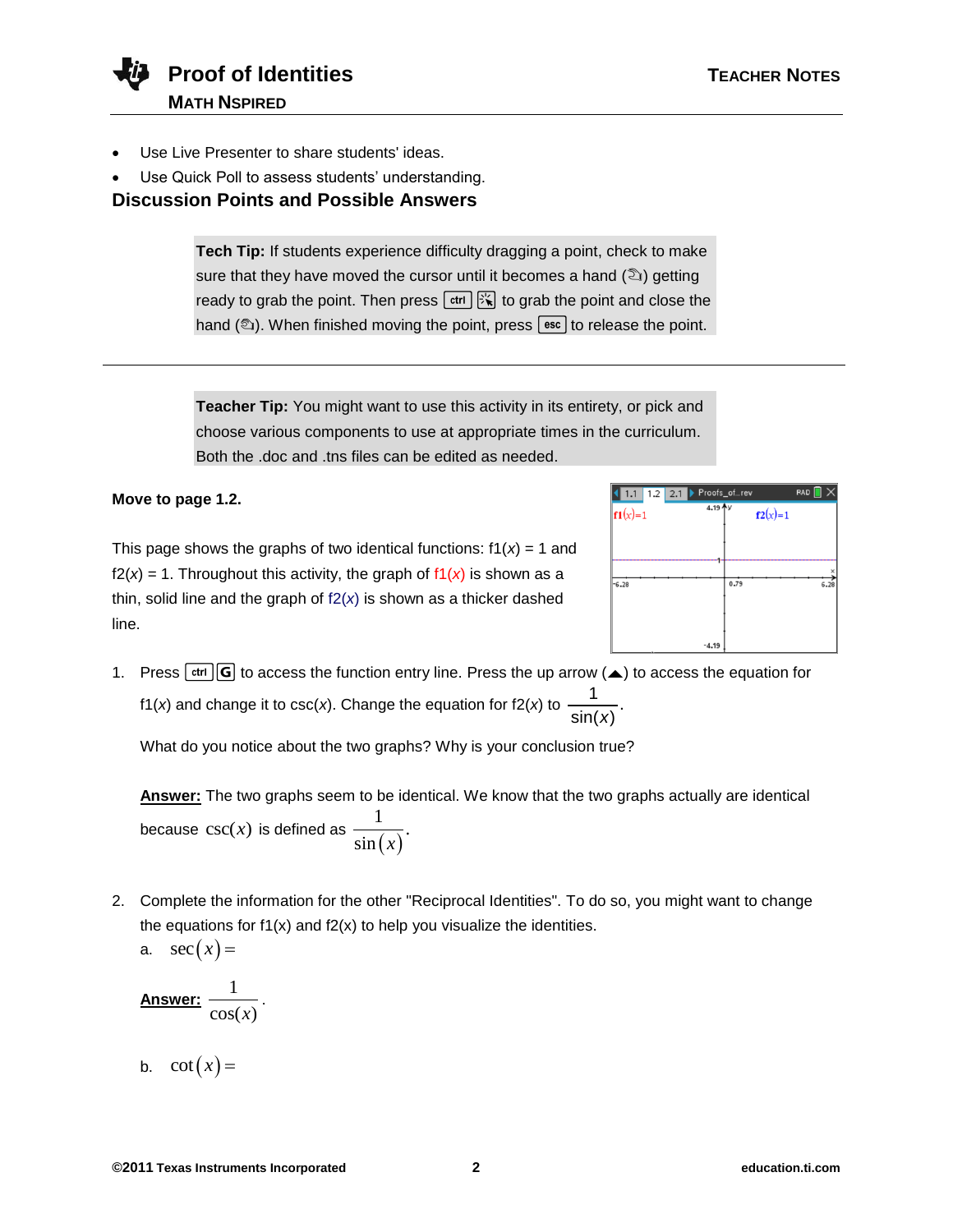

- Use Live Presenter to share students' ideas.
- Use Quick Poll to assess students' understanding.

### **Discussion Points and Possible Answers**

**Tech Tip:** If students experience difficulty dragging a point, check to make sure that they have moved the cursor until it becomes a hand  $(2)$  getting ready to grab the point. Then press  $[\vec{r} \cdot \vec{k}]$  to grab the point and close the hand ( $\textcircled{\tiny 2}$ ). When finished moving the point, press  $\text{res}$  to release the point.

**Teacher Tip:** You might want to use this activity in its entirety, or pick and choose various components to use at appropriate times in the curriculum. Both the .doc and .tns files can be edited as needed.

**Move to page 1.2.**

This page shows the graphs of two identical functions:  $f1(x) = 1$  and  $f2(x) = 1$ . Throughout this activity, the graph of  $f1(x)$  is shown as a thin, solid line and the graph of  $f2(x)$  is shown as a thicker dashed line.

1. Press  $[\text{ctr}]\text{G}$  to access the function entry line. Press the up arrow ( $\triangle$ ) to access the equation for f1(*x*) and change it to csc(*x*). Change the equation for f2(*x*) to  $\frac{1}{\sqrt{1-x}}$ .  $sin(x)$ 

What do you notice about the two graphs? Why is your conclusion true?

**Answer:** The two graphs seem to be identical. We know that the two graphs actually are identical because  $csc(x)$  is defined as  $(x)$  $\frac{1}{\sqrt{2}}$ .  $\sin(x)$ 

2. Complete the information for the other "Reciprocal Identities". To do so, you might want to change the equations for  $f(x)$  and  $f(2(x))$  to help you visualize the identities.

$$
a. \quad \sec(x) =
$$

Answer: 
$$
\frac{1}{\cos(x)}
$$
.

b.  $\cot(x) =$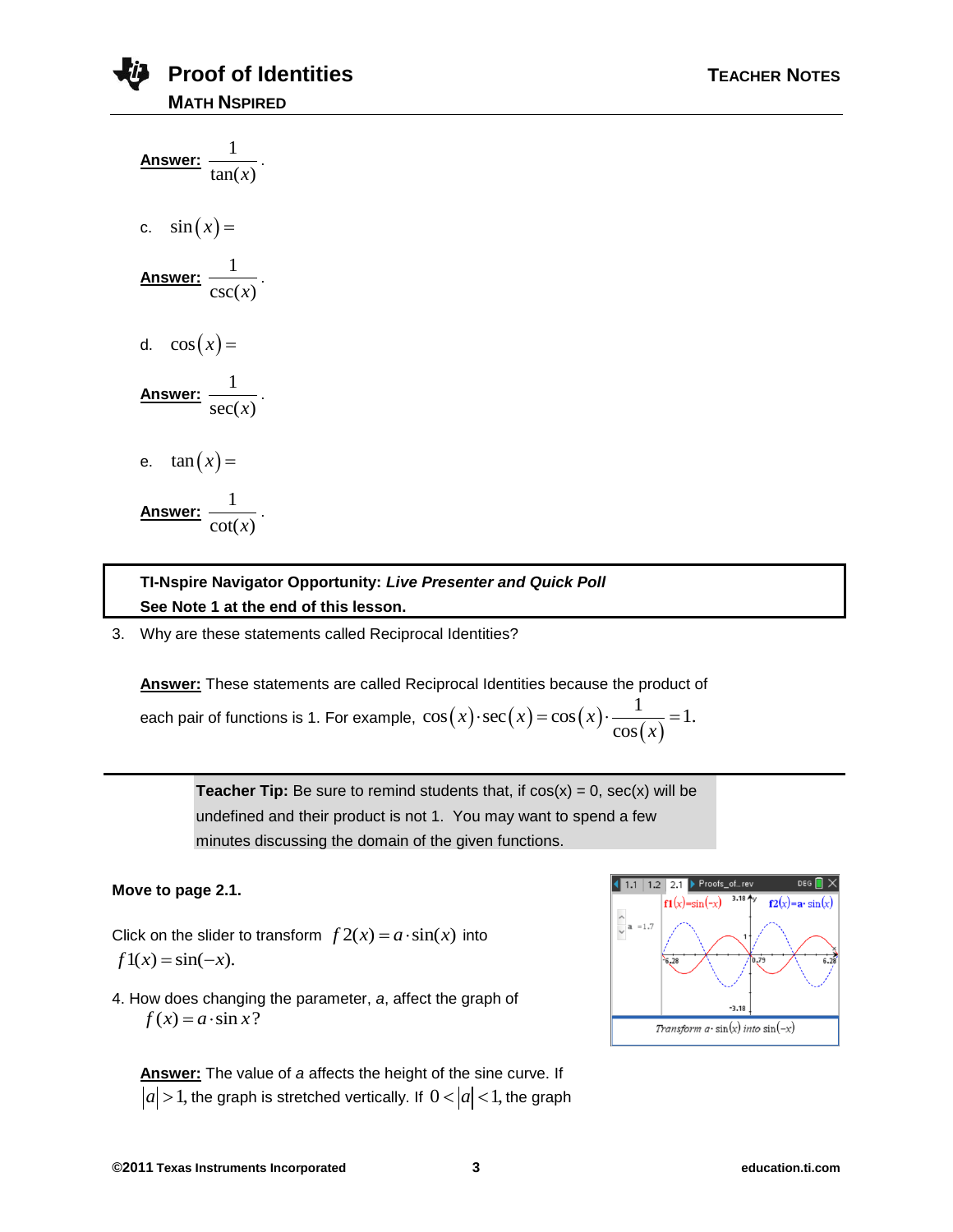**Answer:** 1  $\frac{1}{\tan(x)}$ . c.  $sin(x) =$ **Answer:** 1  $\frac{1}{\csc(x)}$ . d.  $\cos(x) =$ **Answer:** 1  $\frac{1}{\sec(x)}$ . e.  $\tan(x) =$ **Answer:** 1  $\frac{1}{\cot(x)}$ .

## **TI-Nspire Navigator Opportunity:** *Live Presenter and Quick Poll* **See Note 1 at the end of this lesson.**

3. Why are these statements called Reciprocal Identities?

**Answer:** These statements are called Reciprocal Identities because the product of

each pair of functions is 1. For example,  $\cos(x)\cdot\sec(x)\!=\!\cos(x)$  $(x)$  $\cos(x) \cdot \sec(x) = \cos(x) \cdot \frac{1}{\cos(x)} = 1.$ 

**Teacher Tip:** Be sure to remind students that, if  $cos(x) = 0$ ,  $sec(x)$  will be undefined and their product is not 1. You may want to spend a few minutes discussing the domain of the given functions.

### **Move to page 2.1.**

Click on the slider to transform  $f2(x) = a \cdot \sin(x)$  into  $f1(x) = \sin(-x)$ .

4. How does changing the parameter, *a*, affect the graph of  $f(x) = a \cdot \sin x$ ?

**Answer:** The value of *a* affects the height of the sine curve. If  $a\vert$   $>$  1, the graph is stretched vertically. If  $\,0$  <  $\vert a \vert$  < 1, the graph

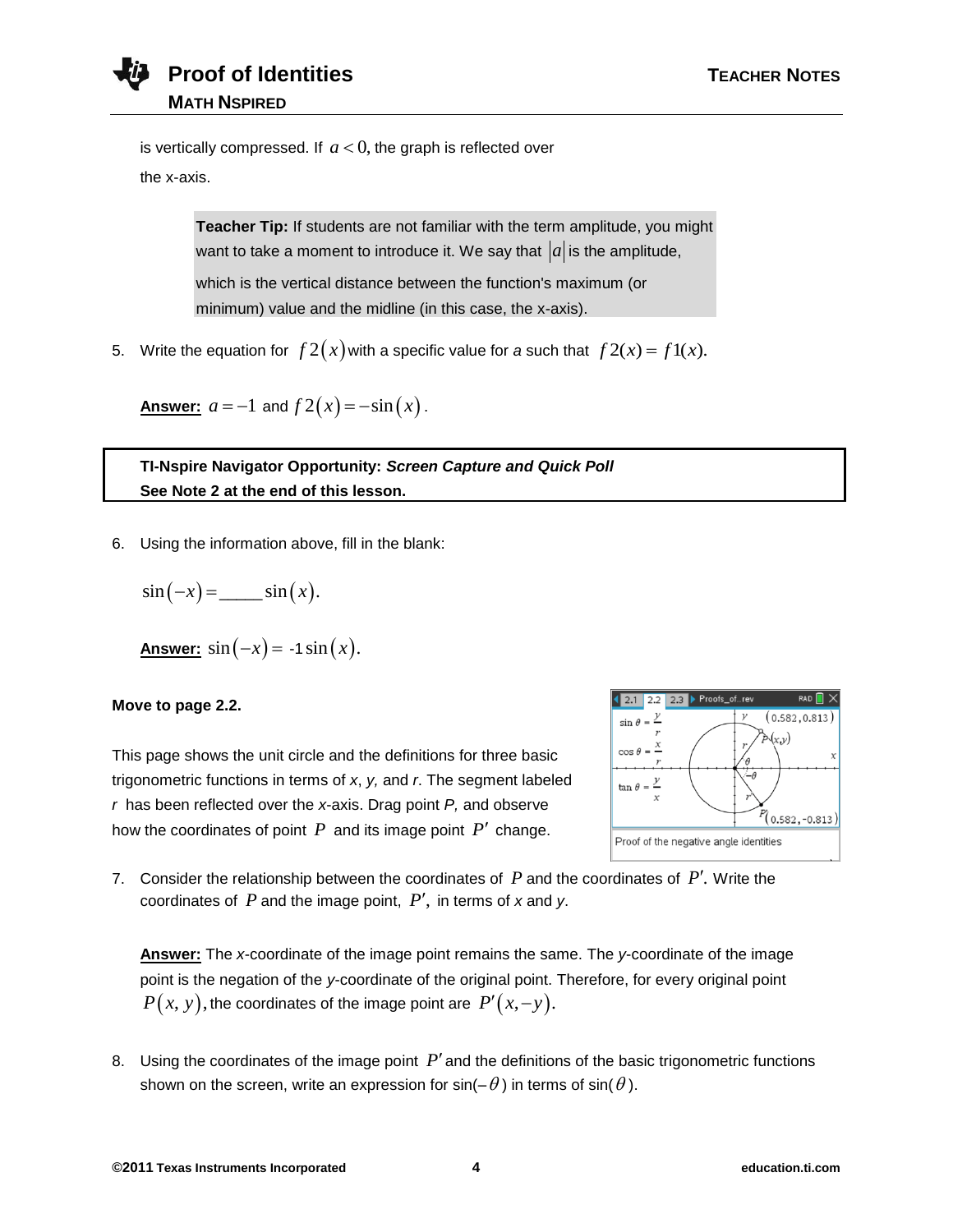is vertically compressed. If  $a < 0$ , the graph is reflected over

the x-axis.

**Teacher Tip:** If students are not familiar with the term amplitude, you might want to take a moment to introduce it. We say that  $|a|$  is the amplitude,

which is the vertical distance between the function's maximum (or minimum) value and the midline (in this case, the x-axis).

5. Write the equation for  $f(2(x))$  with a specific value for a such that  $f(2(x)) = f(1(x))$ .

**<u>Answer:**</u>  $a = -1$  and  $f 2(x) = -\sin(x)$ .

**TI-Nspire Navigator Opportunity:** *Screen Capture and Quick Poll* **See Note 2 at the end of this lesson.**

6. Using the information above, fill in the blank:

 $\sin(-x) =$  \_\_\_\_  $\sin(x)$ .

**<u>Answer:**</u>  $\sin(-x) = -1 \sin(x)$ .

### **Move to page 2.2.**

This page shows the unit circle and the definitions for three basic trigonometric functions in terms of *x*, *y,* and *r*. The segment labeled *r* has been reflected over the *x*-axis. Drag point *P,* and observe how the coordinates of point  $P$  and its image point  $P'$  change.



7. Consider the relationship between the coordinates of  $P$  and the coordinates of  $P'$ . Write the coordinates of  $P$  and the image point,  $P'$ , in terms of  $x$  and  $y$ .

**Answer:** The *x*-coordinate of the image point remains the same. The *y*-coordinate of the image point is the negation of the *y*-coordinate of the original point. Therefore, for every original point  $P(x, y)$ , the coordinates of the image point are  $P'(x, -y)$ .

8. Using the coordinates of the image point  $P'$  and the definitions of the basic trigonometric functions shown on the screen, write an expression for  $\sin(-\theta)$  in terms of  $\sin(\theta)$ .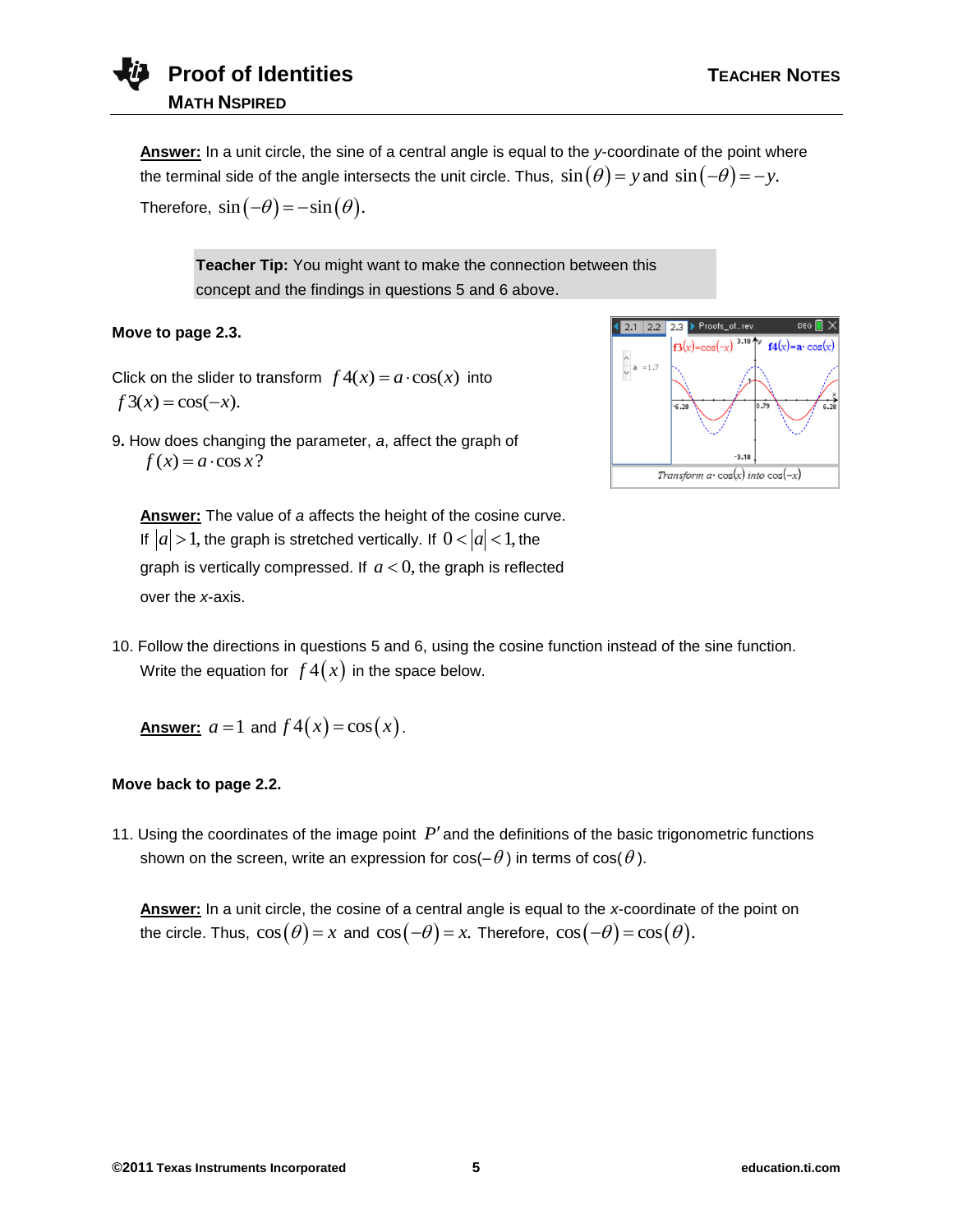**Answer:** In a unit circle, the sine of a central angle is equal to the *y*-coordinate of the point where the terminal side of the angle intersects the unit circle. Thus,  $\sin(\theta)$  =  $y$  and  $\sin(-\theta)$  =  $-y$ .

Therefore,  $\sin(-\theta) = -\sin(\theta)$ .

**Teacher Tip:** You might want to make the connection between this concept and the findings in questions 5 and 6 above.

### **Move to page 2.3.**

Click on the slider to transform  $f(4(x)) = a \cdot cos(x)$  into  $f3(x) = cos(-x)$ .

9**.** How does changing the parameter, *a*, affect the graph of  $f(x) = a \cdot \cos x$ ?



**Answer:** The value of *a* affects the height of the cosine curve. If  $|a|$  > 1, the graph is stretched vertically. If  $0 < |a|$  < 1, the graph is vertically compressed. If  $a < 0$ , the graph is reflected over the *x*-axis.

10. Follow the directions in questions 5 and 6, using the cosine function instead of the sine function. Write the equation for  $\,f\,4\hspace{0.4pt}(x)\,$  in the space below.

**<u>Answer:**</u>  $a = 1$  and  $f 4(x) = cos(x)$ .

### **Move back to page 2.2.**

11. Using the coordinates of the image point  $P'$  and the definitions of the basic trigonometric functions shown on the screen, write an expression for cos(–  $\theta$  ) in terms of cos(  $\theta$  ).

**Answer:** In a unit circle, the cosine of a central angle is equal to the *x*-coordinate of the point on the circle. Thus,  $\cos(\theta) = x$  and  $\cos(-\theta) = x$ . Therefore,  $\cos(-\theta) = \cos(\theta)$ .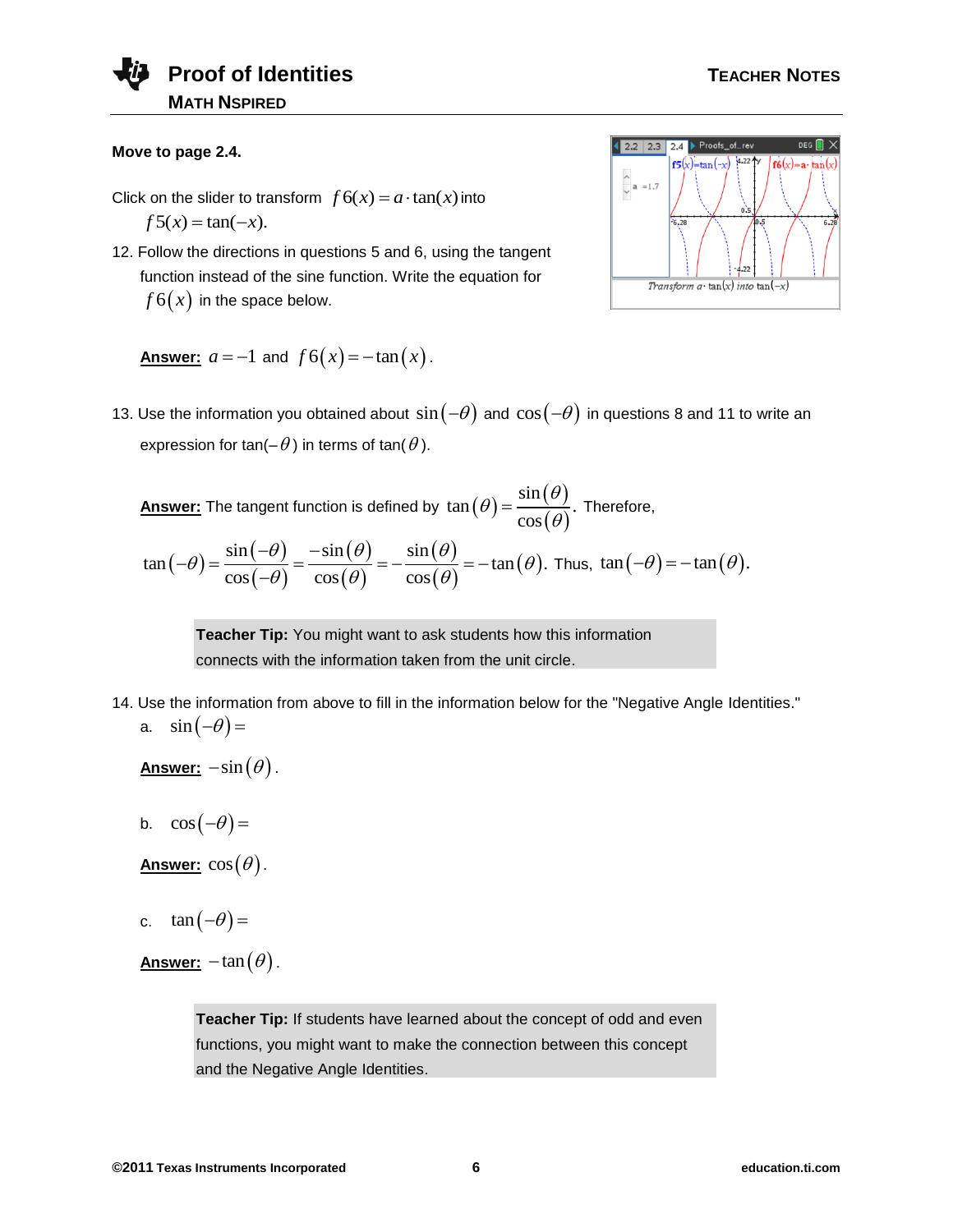### **Move to page 2.4.**

Click on the slider to transform  $f 6(x) = a \cdot \tan(x)$  into

$$
f5(x) = \tan(-x).
$$

12. Follow the directions in questions 5 and 6, using the tangent function instead of the sine function. Write the equation for  $f$   $6$   $\left(x\right)$  in the space below.

**<u>Answer:**</u>  $a = -1$  and  $f6(x) = -\tan(x)$ .



13. Use the information you obtained about  $\sin(-\theta)$  and  $\cos(-\theta)$  in questions 8 and 11 to write an expression for tan(–  $\theta$  ) in terms of tan(  $\theta$  ).

 $\frac{\textsf{Answer:}}{\textsf{The tangent function}}$  is defined by  $\tan(\theta)$  $(\theta)$  $(\theta)$  $\tan(\theta) = \frac{\sin(\theta)}{\cos \theta}.$ cos  $\theta$  $\theta$ e tangent function is defined by  $\tan(\theta) = \frac{\sin(\theta)}{\cos(\theta)}$ . Therefore,<br>  $\frac{\sin(-\theta)}{\sin(-\theta)} = \frac{-\sin(\theta)}{\cos(\theta)} = -\tan(\theta)$ . Thus.  $\tan(-\theta)$ gent function is de<br>  $\frac{-\theta}{\theta} = \frac{-\sin(\theta)}{\theta}$ 

$$
\tan(-\theta) = \frac{\sin(-\theta)}{\cos(-\theta)} = \frac{-\sin(\theta)}{\cos(\theta)} = -\frac{\sin(\theta)}{\cos(\theta)} = -\tan(\theta). \text{ Thus, } \tan(-\theta) = -\tan(\theta).
$$

**Teacher Tip:** You might want to ask students how this information connects with the information taken from the unit circle.

14. Use the information from above to fill in the information below for the "Negative Angle Identities." a.  $\sin(-\theta) =$ 

**Answer:**  $-\sin(\theta)$ .

b.  $\cos(-\theta) =$ 

<u>Answer:</u>  $\cos(\theta)$  .

c.  $\tan(-\theta) =$ 

**Answer:**  $-\tan(\theta)$ .

**Teacher Tip:** If students have learned about the concept of odd and even functions, you might want to make the connection between this concept and the Negative Angle Identities.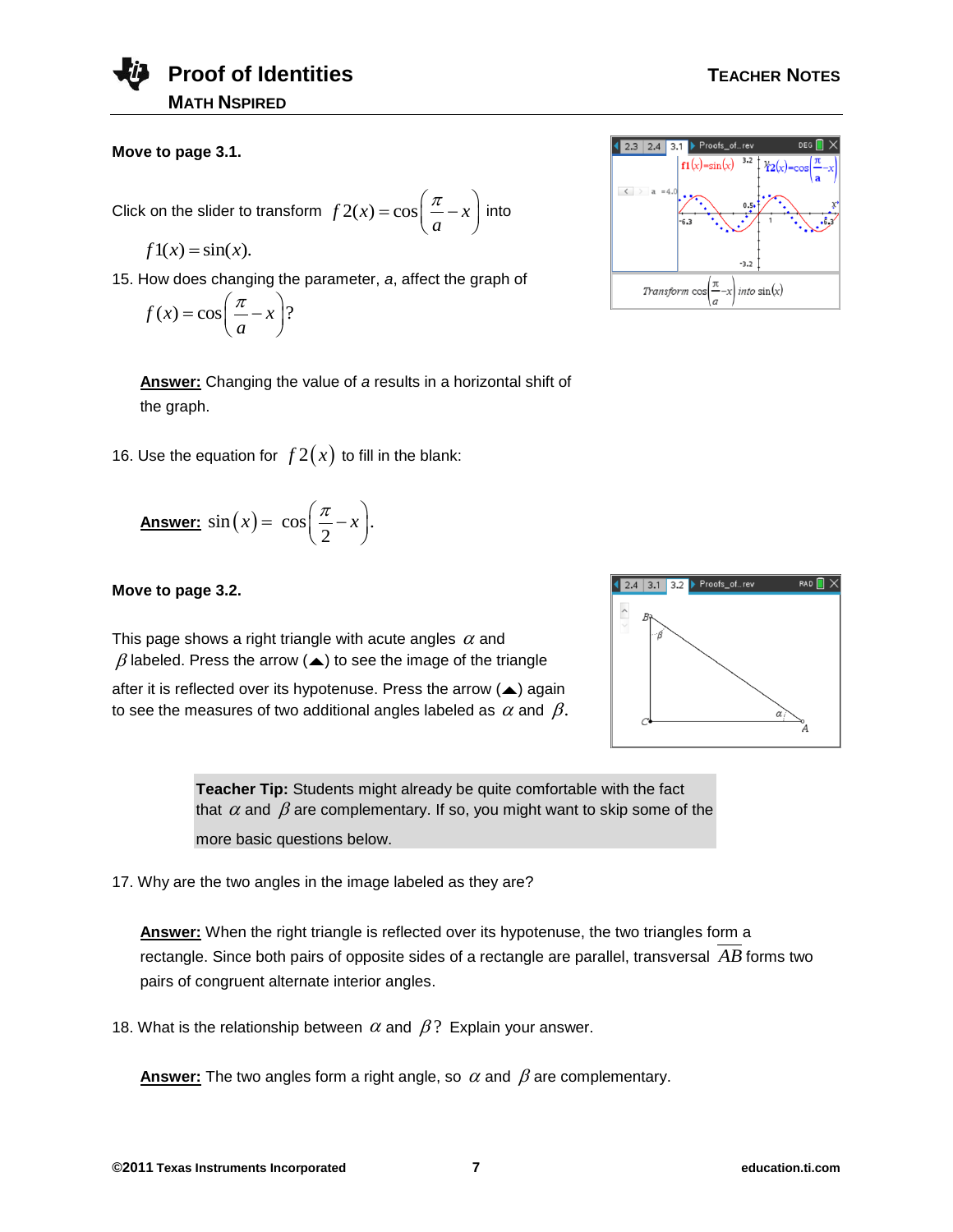### **Move to page 3.1.**

Click on the slider to transform  $\int f 2(x) = \cos \left( \frac{\pi}{2} - x \right)$ *a*  $=\cos\left(\frac{\pi}{a}-x\right)$  into

$$
f1(x) = \sin(x).
$$

15. How does changing the parameter, *a*, affect the graph of

$$
f(x) = \cos\left(\frac{\pi}{a} - x\right)?
$$

**Answer:** Changing the value of *a* results in a horizontal shift of the graph.

16. Use the equation for  $f2(x)$  to fill in the blank:

Answer: 
$$
\sin(x) = \cos\left(\frac{\pi}{2} - x\right)
$$
.

#### **Move to page 3.2.**

This page shows a right triangle with acute angles  $\alpha$  and  $\beta$  labeled. Press the arrow ( $\blacktriangle$ ) to see the image of the triangle after it is reflected over its hypotenuse. Press the arrow  $($   $\blacktriangle)$  again to see the measures of two additional angles labeled as  $\alpha$  and  $\beta.$ 



**Teacher Tip:** Students might already be quite comfortable with the fact that  $\alpha$  and  $\beta$  are complementary. If so, you might want to skip some of the more basic questions below.

17. Why are the two angles in the image labeled as they are?

**Answer:** When the right triangle is reflected over its hypotenuse, the two triangles form a rectangle. Since both pairs of opposite sides of a rectangle are parallel, transversal *AB* forms two pairs of congruent alternate interior angles.

18. What is the relationship between  $\alpha$  and  $\beta$ ? Explain your answer.

**Answer:** The two angles form a right angle, so  $\alpha$  and  $\beta$  are complementary.

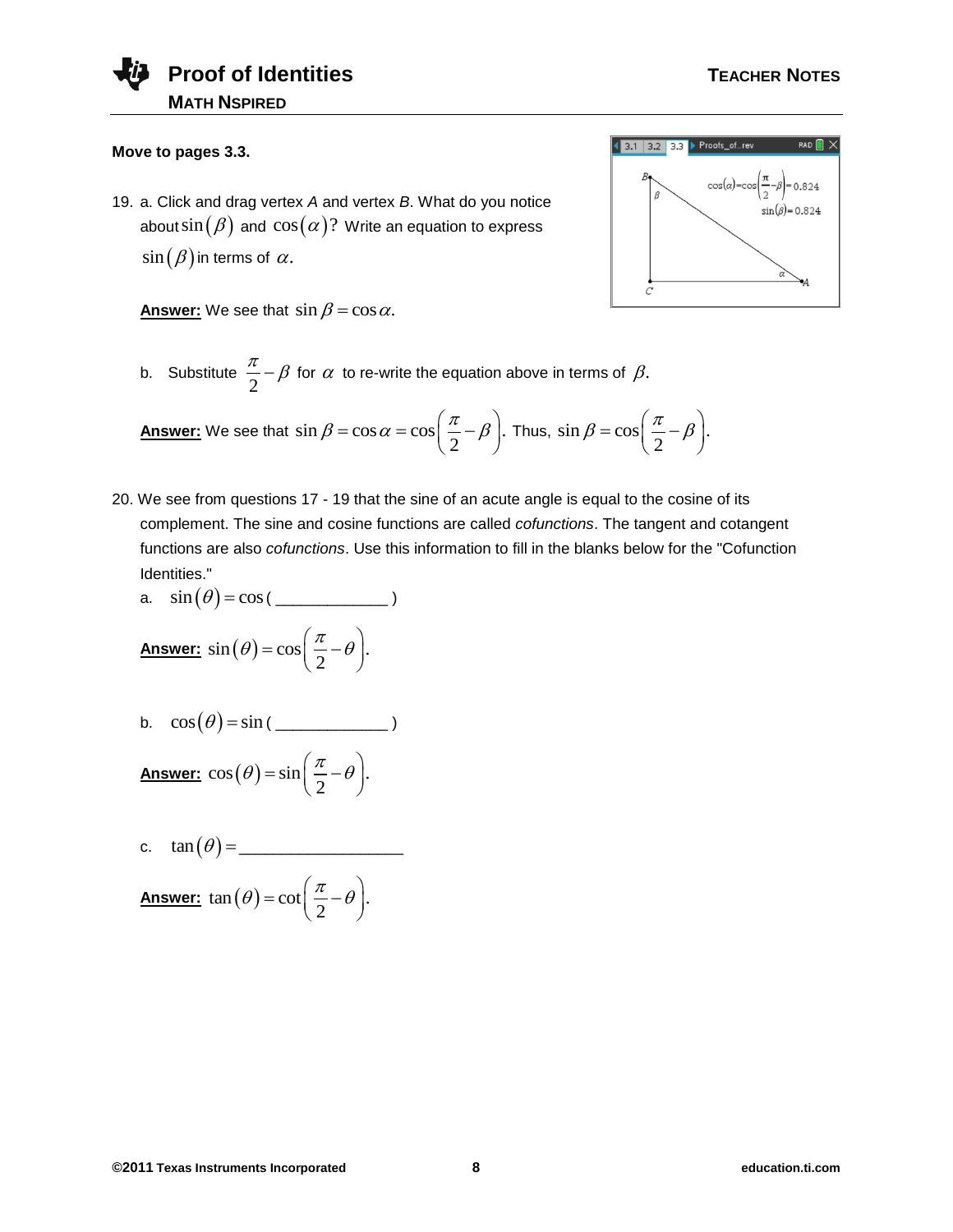#### **Move to pages 3.3.**

19. a. Click and drag vertex *A* and vertex *B*. What do you notice about $\sin(\beta)$  and  $\cos(\alpha)?$  Write an equation to express  $\,$  $\sin(\beta)$  in terms of  $\alpha.$ 

4 3.1 3.2 3.3 Proofs\_of... rev RAD  $\overline{\mathbb{R}} \times$  $cos(\alpha) = cos$  $0.824$  $\sin(\beta)$ = 0.824  $\bar{c}$ 

**<u>Answer:</u>** We see that  $\sin \beta = \cos \alpha$ .

b. Substitute  $\frac{\pi}{2}$  $\frac{\pi}{\sigma}$  –  $\beta$  for  $\alpha$  to re-write the equation above in terms of  $\beta$ .

**<u>Answer:</u>** We see that  $\sin \beta = \cos \alpha = \cos \left(\frac{\pi}{2} - \beta\right)$ .  $\beta = \cos \alpha = \cos \left(\frac{\pi}{2} - \beta\right)$ . Th Thus,  $\sin \beta = \cos \left( \frac{\pi}{2} - \beta \right)$ . 2  $\beta = \cos\left(\frac{\pi}{2} - \beta\right).$ 

20. We see from questions 17 - 19 that the sine of an acute angle is equal to the cosine of its complement. The sine and cosine functions are called *cofunctions*. The tangent and cotangent functions are also *cofunctions*. Use this information to fill in the blanks below for the "Cofunction Identities."

$$
a. \quad \sin(\theta) = \cos(\hspace{1cm} 0.1)
$$

Answer: 
$$
\sin(\theta) = \cos\left(\frac{\pi}{2} - \theta\right)
$$
.

b. 
$$
\cos(\theta) = \sin(\frac{\pi}{2})
$$

Answer: 
$$
\cos(\theta) = \sin\left(\frac{\pi}{2} - \theta\right)
$$
.

c. tan \_\_\_\_\_\_\_\_\_\_\_\_\_\_\_\_\_\_\_

Answer: 
$$
\tan(\theta) = \cot\left(\frac{\pi}{2} - \theta\right)
$$
.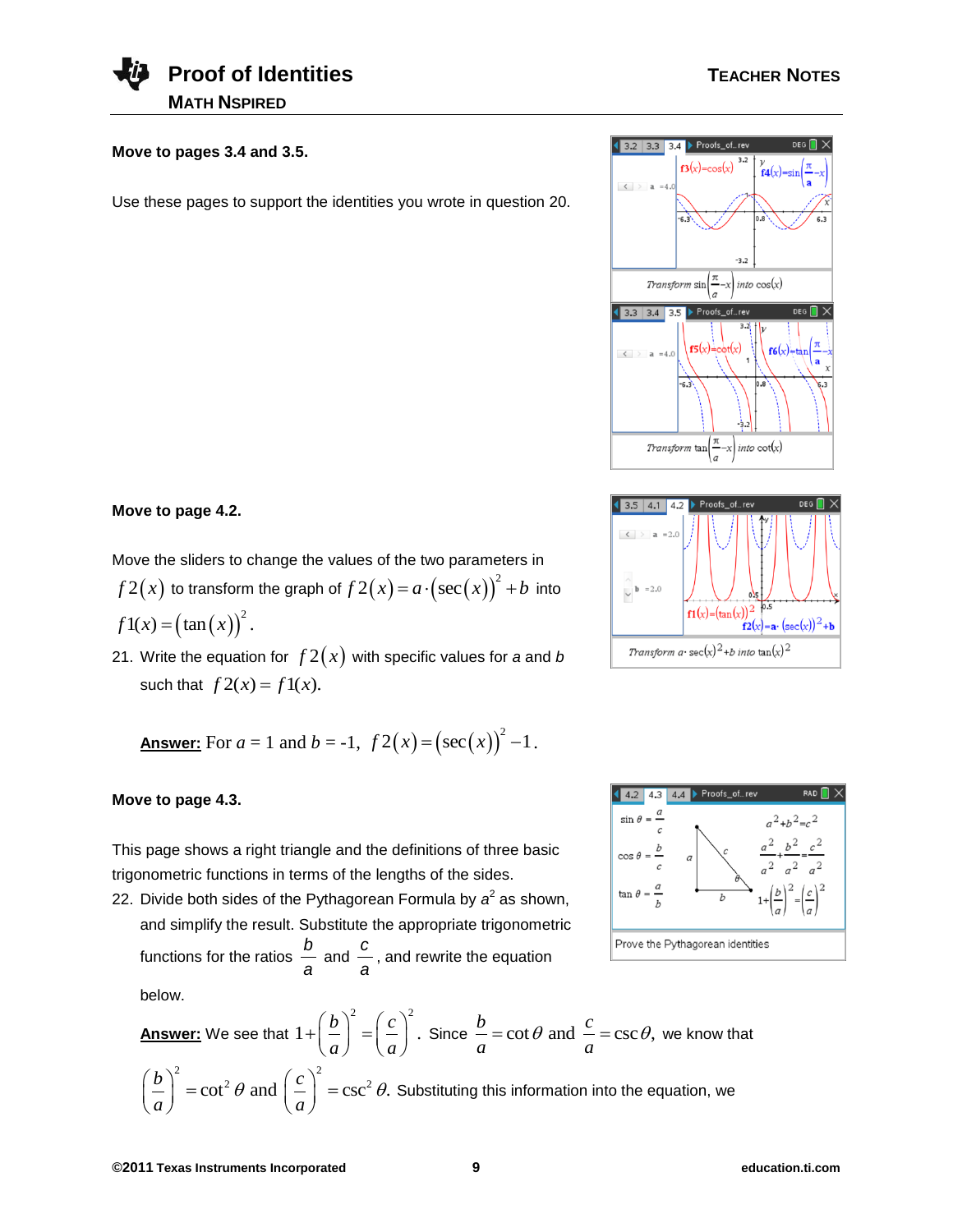

#### **Move to pages 3.4 and 3.5.**

Use these pages to support the identities you wrote in question 20.





# **Move to page 4.2.**

Move the sliders to change the values of the two parameters in

 $f2(x)$  to transform the graph of  $f2(x) = a \cdot (\sec(x))^2 + b$  into  $f1(x) = (\tan(x))^2$ .

21. Write the equation for  $\,f\,2(x)\,$  with specific values for  $a$  and  $b$ such that  $f2(x) = f1(x)$ .

**Answer:** For  $a = 1$  and  $b = -1$ ,  $f2(x) = (\sec(x))^2 - 1$ .

### **Move to page 4.3.**

This page shows a right triangle and the definitions of three basic trigonometric functions in terms of the lengths of the sides.

22. Divide both sides of the Pythagorean Formula by a<sup>2</sup> as shown, and simplify the result. Substitute the appropriate trigonometric functions for the ratios *b*  $rac{b}{a}$  and  $rac{c}{a}$  $\tilde{\overline{a}}$  , and rewrite the equation<br>*a* 

below.

**Answer:** We see that 
$$
1 + \left(\frac{b}{a}\right)^2 = \left(\frac{c}{a}\right)^2
$$
. Since  $\frac{b}{a} = \cot \theta$  and  $\frac{c}{a} = \csc \theta$ , we know that  $\left(\frac{b}{a}\right)^2 = \cot^2 \theta$  and  $\left(\frac{c}{a}\right)^2 = \csc^2 \theta$ . Substituting this information into the equation, we

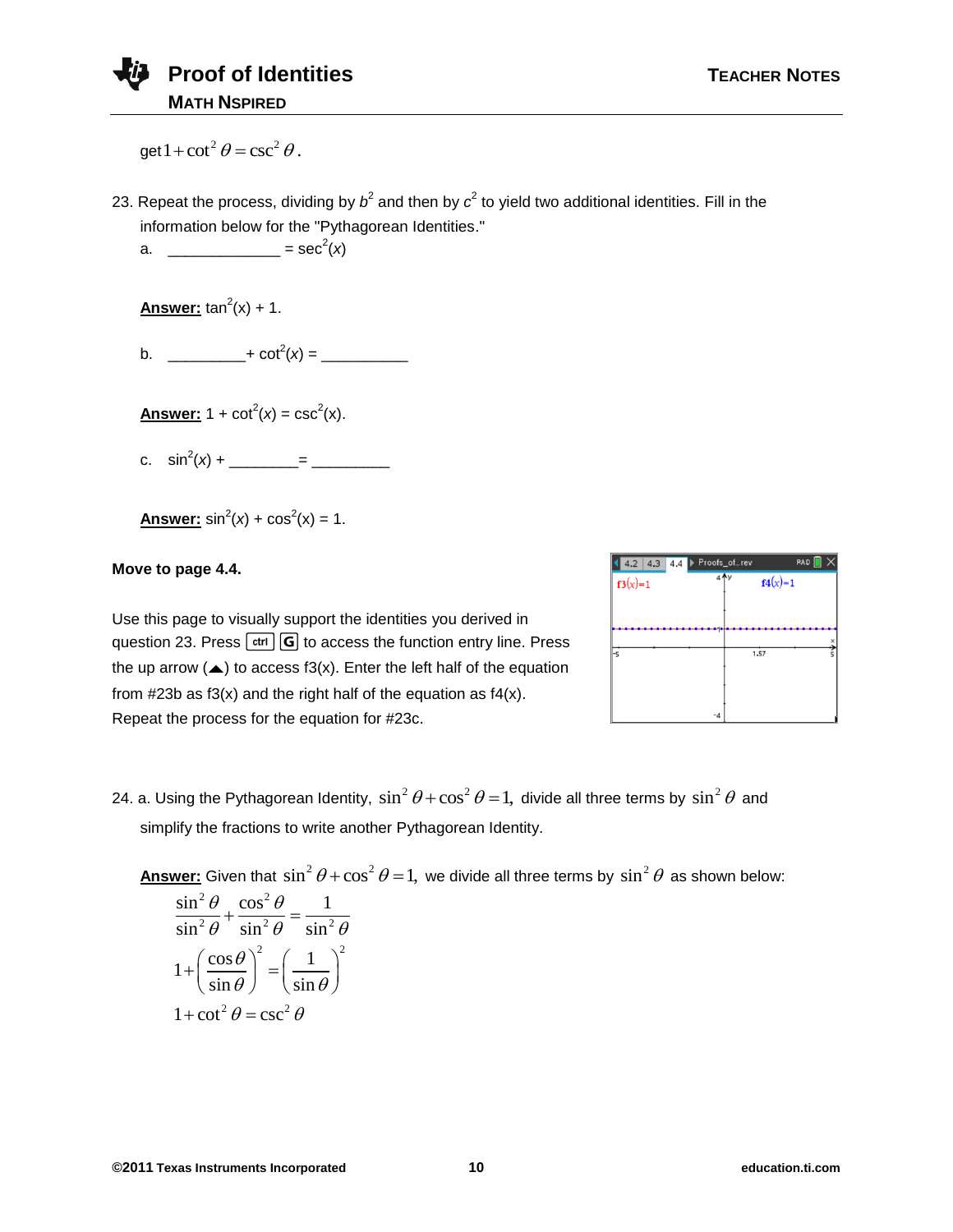get  $1 + \cot^2 \theta = \csc^2 \theta$ .

23. Repeat the process, dividing by  $b^2$  and then by  $c^2$  to yield two additional identities. Fill in the information below for the "Pythagorean Identities."

a. \_\_\_\_\_\_\_\_ = 
$$
sec^2(x)
$$

**Answer:**  $tan^2(x) + 1$ .

b. \_\_\_\_\_\_\_\_\_+ cot<sup>2</sup> (*x*) = \_\_\_\_\_\_\_\_\_\_

**<u>Answer:</u> 1 + cot<sup>2</sup>(***x***) = csc<sup>2</sup>(***x***).** 

c. sin<sup>2</sup> (*x*) + \_\_\_\_\_\_\_\_= \_\_\_\_\_\_\_\_\_

**<u>Answer:</u>**  $\sin^2(x) + \cos^2(x) = 1$ .

### **Move to page 4.4.**

Use this page to visually support the identities you derived in question 23. Press  $\boxed{\text{ctri}}$   $\boxed{G}$  to access the function entry line. Press the up arrow  $(\triangle)$  to access f3(x). Enter the left half of the equation from  $\#23b$  as  $f3(x)$  and the right half of the equation as  $f4(x)$ . Repeat the process for the equation for #23c.

| $4.2$ 4.3 | 4.4 Proofs_ofrev |           | $RAD$ $X$ |
|-----------|------------------|-----------|-----------|
| $f3(x)=1$ | 4Ay              | $f4(x)=1$ |           |
|           |                  |           |           |
|           |                  |           |           |
|           |                  |           | ×         |
| $-5$      |                  | 1.57      | 5         |
|           |                  |           |           |
|           |                  |           |           |
|           |                  |           |           |
|           | -4               |           |           |

24. a. Using the Pythagorean Identity,  $\sin^2\theta+\cos^2\theta=$  1, divide all three terms by  $\sin^2\theta$  and simplify the fractions to write another Pythagorean Identity.

<u>Answer:</u> Given that  $\sin^2\theta + \cos^2\theta = 1$ , we divide all three terms by  $\sin^2\theta$  as shown below:

$$
\frac{\sin^2 \theta}{\sin^2 \theta} + \frac{\cos^2 \theta}{\sin^2 \theta} = \frac{1}{\sin^2 \theta}
$$

$$
1 + \left(\frac{\cos \theta}{\sin \theta}\right)^2 = \left(\frac{1}{\sin \theta}\right)^2
$$

$$
1 + \cot^2 \theta = \csc^2 \theta
$$